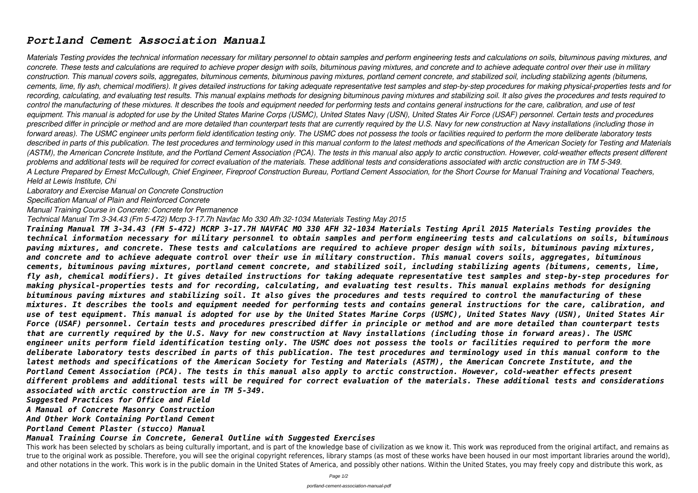## *Portland Cement Association Manual*

*Materials Testing provides the technical information necessary for military personnel to obtain samples and perform engineering tests and calculations on soils, bituminous paving mixtures, and concrete. These tests and calculations are required to achieve proper design with soils, bituminous paving mixtures, and concrete and to achieve adequate control over their use in military construction. This manual covers soils, aggregates, bituminous cements, bituminous paving mixtures, portland cement concrete, and stabilized soil, including stabilizing agents (bitumens, cements, lime, fly ash, chemical modifiers). It gives detailed instructions for taking adequate representative test samples and step-by-step procedures for making physical-properties tests and for recording, calculating, and evaluating test results. This manual explains methods for designing bituminous paving mixtures and stabilizing soil. It also gives the procedures and tests required to control the manufacturing of these mixtures. It describes the tools and equipment needed for performing tests and contains general instructions for the care, calibration, and use of test equipment. This manual is adopted for use by the United States Marine Corps (USMC), United States Navy (USN), United States Air Force (USAF) personnel. Certain tests and procedures prescribed differ in principle or method and are more detailed than counterpart tests that are currently required by the U.S. Navy for new construction at Navy installations (including those in forward areas). The USMC engineer units perform field identification testing only. The USMC does not possess the tools or facilities required to perform the more deliberate laboratory tests described in parts of this publication. The test procedures and terminology used in this manual conform to the latest methods and specifications of the American Society for Testing and Materials (ASTM), the American Concrete Institute, and the Portland Cement Association (PCA). The tests in this manual also apply to arctic construction. However, cold-weather effects present different problems and additional tests will be required for correct evaluation of the materials. These additional tests and considerations associated with arctic construction are in TM 5-349. A Lecture Prepared by Ernest McCullough, Chief Engineer, Fireproof Construction Bureau, Portland Cement Association, for the Short Course for Manual Training and Vocational Teachers, Held at Lewis Institute, Chi*

*Laboratory and Exercise Manual on Concrete Construction*

*Specification Manual of Plain and Reinforced Concrete*

*Manual Training Course in Concrete: Concrete for Permanence*

This work has been selected by scholars as being culturally important, and is part of the knowledge base of civilization as we know it. This work was reproduced from the original artifact, and remains as true to the original work as possible. Therefore, you will see the original copyright references, library stamps (as most of these works have been housed in our most important libraries around the world), and other notations in the work. This work is in the public domain in the United States of America, and possibly other nations. Within the United States, you may freely copy and distribute this work, as

*Technical Manual Tm 3-34.43 (Fm 5-472) Mcrp 3-17.7h Navfac Mo 330 Afh 32-1034 Materials Testing May 2015*

*Training Manual TM 3-34.43 (FM 5-472) MCRP 3-17.7H NAVFAC MO 330 AFH 32-1034 Materials Testing April 2015 Materials Testing provides the technical information necessary for military personnel to obtain samples and perform engineering tests and calculations on soils, bituminous paving mixtures, and concrete. These tests and calculations are required to achieve proper design with soils, bituminous paving mixtures, and concrete and to achieve adequate control over their use in military construction. This manual covers soils, aggregates, bituminous cements, bituminous paving mixtures, portland cement concrete, and stabilized soil, including stabilizing agents (bitumens, cements, lime, fly ash, chemical modifiers). It gives detailed instructions for taking adequate representative test samples and step-by-step procedures for making physical-properties tests and for recording, calculating, and evaluating test results. This manual explains methods for designing bituminous paving mixtures and stabilizing soil. It also gives the procedures and tests required to control the manufacturing of these mixtures. It describes the tools and equipment needed for performing tests and contains general instructions for the care, calibration, and use of test equipment. This manual is adopted for use by the United States Marine Corps (USMC), United States Navy (USN), United States Air Force (USAF) personnel. Certain tests and procedures prescribed differ in principle or method and are more detailed than counterpart tests that are currently required by the U.S. Navy for new construction at Navy installations (including those in forward areas). The USMC engineer units perform field identification testing only. The USMC does not possess the tools or facilities required to perform the more deliberate laboratory tests described in parts of this publication. The test procedures and terminology used in this manual conform to the latest methods and specifications of the American Society for Testing and Materials (ASTM), the American Concrete Institute, and the Portland Cement Association (PCA). The tests in this manual also apply to arctic construction. However, cold-weather effects present different problems and additional tests will be required for correct evaluation of the materials. These additional tests and considerations associated with arctic construction are in TM 5-349.*

*Suggested Practices for Office and Field*

*A Manual of Concrete Masonry Construction*

*And Other Work Containing Portland Cement*

## *Portland Cement Plaster (stucco) Manual*

## *Manual Training Course in Concrete, General Outline with Suggested Exercises*